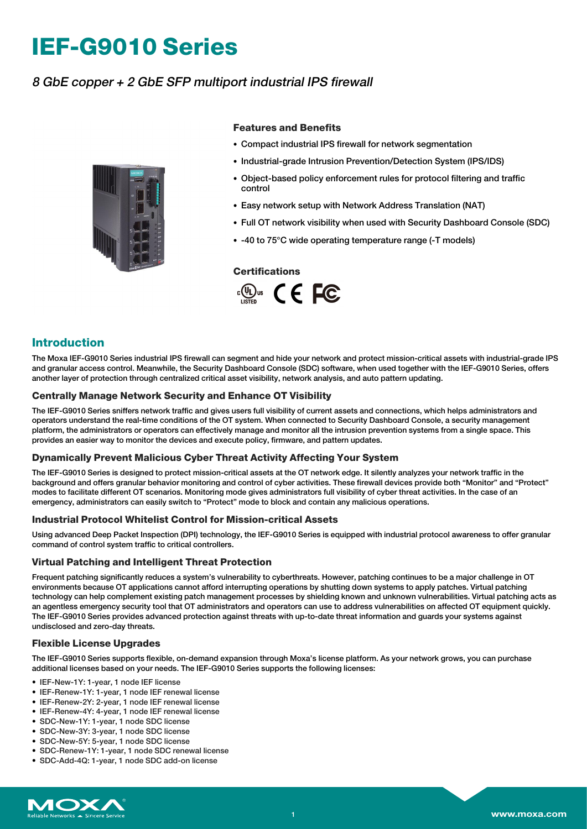# **IEF-G9010 Series**

# 8 GbE copper <sup>+</sup> 2 GbE SFP multiport industrial IPS firewall



#### **Features and Benefits**

- Compact industrial IPS firewall for network segmentation
- Industrial-grade Intrusion Prevention/Detection System (IPS/IDS)
- Object-based policy enforcement rules for protocol filtering and traffic control
- Easy network setup with Network Address Translation (NAT)
- Full OT network visibility when used with Security Dashboard Console (SDC)
- -40 to 75°C wide operating temperature range (-T models)

#### **Certifications**



### **Introduction**

The Moxa IEF-G9010 Series industrial IPS firewall can segment and hide your network and protect mission-critical assets with industrial-grade IPS and granular access control. Meanwhile, the Security Dashboard Console (SDC) software, when used together with the IEF-G9010 Series, offers another layer of protection through centralized critical asset visibility, network analysis, and auto pattern updating.

#### **Centrally Manage Network Security and Enhance OT Visibility**

The IEF-G9010 Series sniffers network traffic and gives users full visibility of current assets and connections, which helps administrators and operators understand the real-time conditions of the OT system. When connected to Security Dashboard Console, a security management platform, the administrators or operators can effectively manage and monitor all the intrusion prevention systems from a single space. This provides an easier way to monitor the devices and execute policy, firmware, and pattern updates.

#### **Dynamically Prevent Malicious Cyber Threat Activity Affecting Your System**

The IEF-G9010 Series is designed to protect mission-critical assets at the OT network edge. It silently analyzes your network traffic in the background and offers granular behavior monitoring and control of cyber activities. These firewall devices provide both "Monitor" and "Protect" modes to facilitate different OT scenarios. Monitoring mode gives administrators full visibility of cyber threat activities. In the case of an emergency, administrators can easily switch to "Protect" mode to block and contain any malicious operations.

#### **Industrial Protocol Whitelist Control for Mission-critical Assets**

Using advanced Deep Packet Inspection (DPI) technology, the IEF-G9010 Series is equipped with industrial protocol awareness to offer granular command of control system traffic to critical controllers.

#### **Virtual Patching and Intelligent Threat Protection**

Frequent patching significantly reduces a system's vulnerability to cyberthreats. However, patching continues to be a major challenge in OT environments because OT applications cannot afford interrupting operations by shutting down systems to apply patches. Virtual patching technology can help complement existing patch management processes by shielding known and unknown vulnerabilities. Virtual patching acts as an agentless emergency security tool that OT administrators and operators can use to address vulnerabilities on affected OT equipment quickly. The IEF-G9010 Series provides advanced protection against threats with up-to-date threat information and guards your systems against undisclosed and zero-day threats.

#### **Flexible License Upgrades**

The IEF-G9010 Series supports flexible, on-demand expansion through Moxa's license platform. As your network grows, you can purchase additional licenses based on your needs. The IEF-G9010 Series supports the following licenses:

- IEF-New-1Y: 1-year, 1 node IEF license
- IEF-Renew-1Y: 1-year, 1 node IEF renewal license
- IEF-Renew-2Y: 2-year, 1 node IEF renewal license
- IEF-Renew-4Y: 4-year, 1 node IEF renewal license
- SDC-New-1Y: 1-year, 1 node SDC license
- SDC-New-3Y: 3-year, 1 node SDC license
- SDC-New-5Y: 5-year, 1 node SDC license
- SDC-Renew-1Y: 1-year, 1 node SDC renewal license
- SDC-Add-4Q: 1-year, 1 node SDC add-on license

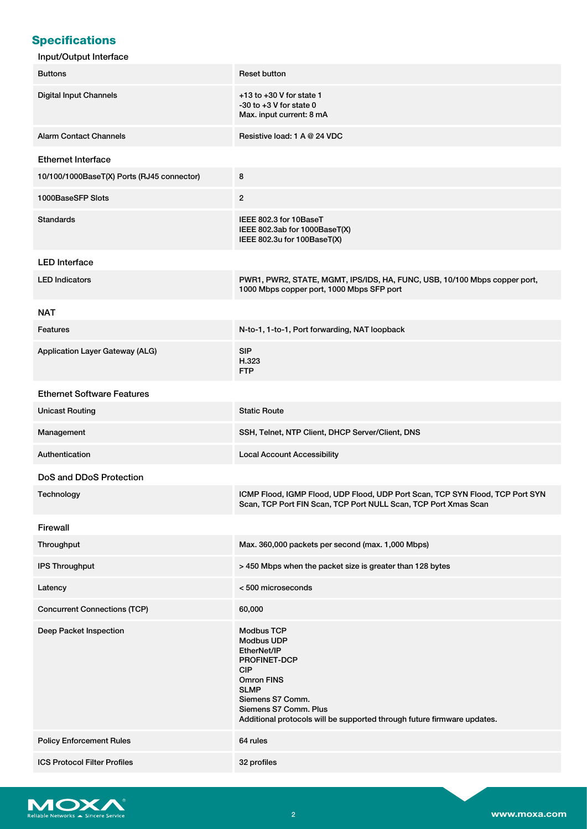# **Specifications**

| <b>Buttons</b>                             | <b>Reset button</b>                                                                                                                                                                                                                             |  |  |  |
|--------------------------------------------|-------------------------------------------------------------------------------------------------------------------------------------------------------------------------------------------------------------------------------------------------|--|--|--|
| <b>Digital Input Channels</b>              | $+13$ to $+30$ V for state 1<br>$-30$ to $+3$ V for state 0<br>Max. input current: 8 mA                                                                                                                                                         |  |  |  |
| <b>Alarm Contact Channels</b>              | Resistive load: 1 A @ 24 VDC                                                                                                                                                                                                                    |  |  |  |
| <b>Ethernet Interface</b>                  |                                                                                                                                                                                                                                                 |  |  |  |
| 10/100/1000BaseT(X) Ports (RJ45 connector) | 8                                                                                                                                                                                                                                               |  |  |  |
| 1000BaseSFP Slots                          | $\overline{2}$                                                                                                                                                                                                                                  |  |  |  |
| <b>Standards</b>                           | IEEE 802.3 for 10BaseT<br>IEEE 802.3ab for 1000BaseT(X)<br>IEEE 802.3u for 100BaseT(X)                                                                                                                                                          |  |  |  |
| <b>LED</b> Interface                       |                                                                                                                                                                                                                                                 |  |  |  |
| <b>LED Indicators</b>                      | PWR1, PWR2, STATE, MGMT, IPS/IDS, HA, FUNC, USB, 10/100 Mbps copper port,<br>1000 Mbps copper port, 1000 Mbps SFP port                                                                                                                          |  |  |  |
| <b>NAT</b>                                 |                                                                                                                                                                                                                                                 |  |  |  |
| <b>Features</b>                            | N-to-1, 1-to-1, Port forwarding, NAT loopback                                                                                                                                                                                                   |  |  |  |
| Application Layer Gateway (ALG)            | <b>SIP</b><br>H.323<br><b>FTP</b>                                                                                                                                                                                                               |  |  |  |
| <b>Ethernet Software Features</b>          |                                                                                                                                                                                                                                                 |  |  |  |
| <b>Unicast Routing</b>                     | <b>Static Route</b>                                                                                                                                                                                                                             |  |  |  |
| Management                                 | SSH, Telnet, NTP Client, DHCP Server/Client, DNS                                                                                                                                                                                                |  |  |  |
| Authentication                             | <b>Local Account Accessibility</b>                                                                                                                                                                                                              |  |  |  |
| DoS and DDoS Protection                    |                                                                                                                                                                                                                                                 |  |  |  |
| Technology                                 | ICMP Flood, IGMP Flood, UDP Flood, UDP Port Scan, TCP SYN Flood, TCP Port SYN<br>Scan, TCP Port FIN Scan, TCP Port NULL Scan, TCP Port Xmas Scan                                                                                                |  |  |  |
| Firewall                                   |                                                                                                                                                                                                                                                 |  |  |  |
| Throughput                                 | Max. 360,000 packets per second (max. 1,000 Mbps)                                                                                                                                                                                               |  |  |  |
| <b>IPS Throughput</b>                      | > 450 Mbps when the packet size is greater than 128 bytes                                                                                                                                                                                       |  |  |  |
| Latency                                    | <500 microseconds                                                                                                                                                                                                                               |  |  |  |
| <b>Concurrent Connections (TCP)</b>        | 60,000                                                                                                                                                                                                                                          |  |  |  |
| Deep Packet Inspection                     | <b>Modbus TCP</b><br><b>Modbus UDP</b><br>EtherNet/IP<br>PROFINET-DCP<br><b>CIP</b><br><b>Omron FINS</b><br><b>SLMP</b><br>Siemens S7 Comm.<br>Siemens S7 Comm. Plus<br>Additional protocols will be supported through future firmware updates. |  |  |  |
| <b>Policy Enforcement Rules</b>            | 64 rules                                                                                                                                                                                                                                        |  |  |  |
| <b>ICS Protocol Filter Profiles</b>        | 32 profiles                                                                                                                                                                                                                                     |  |  |  |

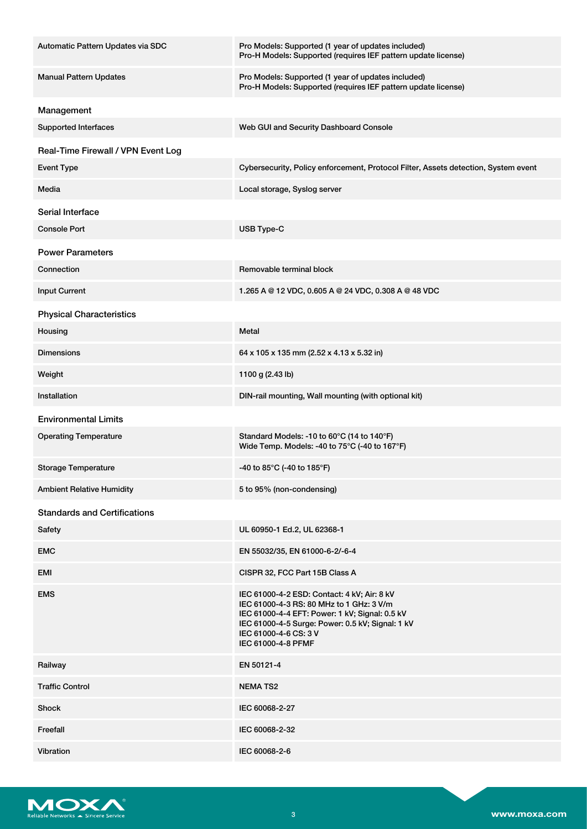| Automatic Pattern Updates via SDC   | Pro Models: Supported (1 year of updates included)<br>Pro-H Models: Supported (requires IEF pattern update license)                                                                                                                          |  |  |
|-------------------------------------|----------------------------------------------------------------------------------------------------------------------------------------------------------------------------------------------------------------------------------------------|--|--|
| <b>Manual Pattern Updates</b>       | Pro Models: Supported (1 year of updates included)<br>Pro-H Models: Supported (requires IEF pattern update license)                                                                                                                          |  |  |
| Management                          |                                                                                                                                                                                                                                              |  |  |
| <b>Supported Interfaces</b>         | Web GUI and Security Dashboard Console                                                                                                                                                                                                       |  |  |
| Real-Time Firewall / VPN Event Log  |                                                                                                                                                                                                                                              |  |  |
| <b>Event Type</b>                   | Cybersecurity, Policy enforcement, Protocol Filter, Assets detection, System event                                                                                                                                                           |  |  |
| Media                               | Local storage, Syslog server                                                                                                                                                                                                                 |  |  |
| Serial Interface                    |                                                                                                                                                                                                                                              |  |  |
| <b>Console Port</b>                 | USB Type-C                                                                                                                                                                                                                                   |  |  |
| <b>Power Parameters</b>             |                                                                                                                                                                                                                                              |  |  |
| Connection                          | Removable terminal block                                                                                                                                                                                                                     |  |  |
| <b>Input Current</b>                | 1.265 A @ 12 VDC, 0.605 A @ 24 VDC, 0.308 A @ 48 VDC                                                                                                                                                                                         |  |  |
| <b>Physical Characteristics</b>     |                                                                                                                                                                                                                                              |  |  |
| Housing                             | Metal                                                                                                                                                                                                                                        |  |  |
| <b>Dimensions</b>                   | 64 x 105 x 135 mm (2.52 x 4.13 x 5.32 in)                                                                                                                                                                                                    |  |  |
| Weight                              | 1100 g (2.43 lb)                                                                                                                                                                                                                             |  |  |
| Installation                        | DIN-rail mounting, Wall mounting (with optional kit)                                                                                                                                                                                         |  |  |
| <b>Environmental Limits</b>         |                                                                                                                                                                                                                                              |  |  |
| <b>Operating Temperature</b>        | Standard Models: -10 to 60°C (14 to 140°F)<br>Wide Temp. Models: -40 to 75°C (-40 to 167°F)                                                                                                                                                  |  |  |
| <b>Storage Temperature</b>          | -40 to 85°C (-40 to 185°F)                                                                                                                                                                                                                   |  |  |
| <b>Ambient Relative Humidity</b>    | 5 to 95% (non-condensing)                                                                                                                                                                                                                    |  |  |
| <b>Standards and Certifications</b> |                                                                                                                                                                                                                                              |  |  |
| Safety                              | UL 60950-1 Ed.2, UL 62368-1                                                                                                                                                                                                                  |  |  |
| <b>EMC</b>                          | EN 55032/35, EN 61000-6-2/-6-4                                                                                                                                                                                                               |  |  |
| EMI                                 | CISPR 32, FCC Part 15B Class A                                                                                                                                                                                                               |  |  |
| <b>EMS</b>                          | IEC 61000-4-2 ESD: Contact: 4 kV; Air: 8 kV<br>IEC 61000-4-3 RS: 80 MHz to 1 GHz: 3 V/m<br>IEC 61000-4-4 EFT: Power: 1 kV; Signal: 0.5 kV<br>IEC 61000-4-5 Surge: Power: 0.5 kV; Signal: 1 kV<br>IEC 61000-4-6 CS: 3 V<br>IEC 61000-4-8 PFMF |  |  |
| Railway                             | EN 50121-4                                                                                                                                                                                                                                   |  |  |
| <b>Traffic Control</b>              | <b>NEMATS2</b>                                                                                                                                                                                                                               |  |  |
| Shock                               | IEC 60068-2-27                                                                                                                                                                                                                               |  |  |
| Freefall                            | IEC 60068-2-32                                                                                                                                                                                                                               |  |  |
| Vibration                           | IEC 60068-2-6                                                                                                                                                                                                                                |  |  |

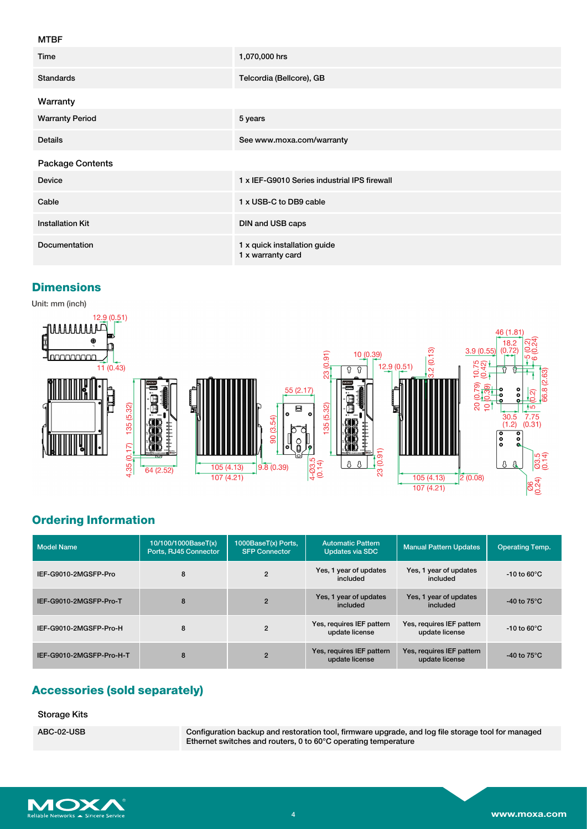#### MTBF

| .                       |                                                   |  |  |  |  |
|-------------------------|---------------------------------------------------|--|--|--|--|
| Time                    | 1,070,000 hrs                                     |  |  |  |  |
| <b>Standards</b>        | Telcordia (Bellcore), GB                          |  |  |  |  |
| Warranty                |                                                   |  |  |  |  |
| <b>Warranty Period</b>  | 5 years                                           |  |  |  |  |
| <b>Details</b>          | See www.moxa.com/warranty                         |  |  |  |  |
| <b>Package Contents</b> |                                                   |  |  |  |  |
| <b>Device</b>           | 1 x IEF-G9010 Series industrial IPS firewall      |  |  |  |  |
| Cable                   | 1 x USB-C to DB9 cable                            |  |  |  |  |
| <b>Installation Kit</b> | DIN and USB caps                                  |  |  |  |  |
| <b>Documentation</b>    | 1 x quick installation guide<br>1 x warranty card |  |  |  |  |

## **Dimensions**

Unit: mm (inch)



# **Ordering Information**

| <b>Model Name</b>        | 10/100/1000BaseT(x)<br>Ports, RJ45 Connector | 1000BaseT(x) Ports,<br><b>SFP Connector</b> | <b>Automatic Pattern</b><br><b>Updates via SDC</b> | <b>Manual Pattern Updates</b>               | <b>Operating Temp.</b>  |
|--------------------------|----------------------------------------------|---------------------------------------------|----------------------------------------------------|---------------------------------------------|-------------------------|
| IEF-G9010-2MGSFP-Pro     | 8                                            | $\overline{2}$                              | Yes, 1 year of updates<br>included                 | Yes, 1 year of updates<br>included          | $-10$ to 60 $\degree$ C |
| IEF-G9010-2MGSFP-Pro-T   | 8                                            | $\overline{2}$                              | Yes, 1 year of updates<br>included                 | Yes, 1 year of updates<br>included          | -40 to $75^{\circ}$ C   |
| IEF-G9010-2MGSFP-Pro-H   | 8                                            | $\overline{2}$                              | Yes, requires IEF pattern<br>update license        | Yes, requires IEF pattern<br>update license | $-10$ to 60 $\degree$ C |
| IEF-G9010-2MGSFP-Pro-H-T | 8                                            | $\overline{2}$                              | Yes, requires IEF pattern<br>update license        | Yes, requires IEF pattern<br>update license | -40 to $75^{\circ}$ C   |

# **Accessories (sold separately)**

#### Storage Kits

ABC-02-USB Configuration backup and restoration tool, firmware upgrade, and log file storage tool for managed Ethernet switches and routers, 0 to 60°C operating temperature